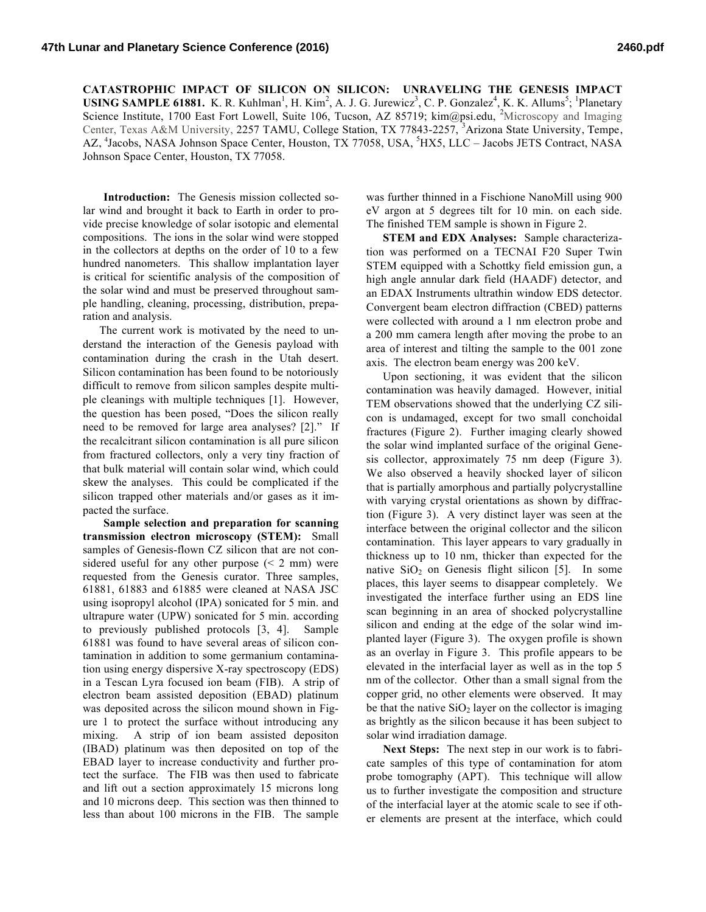**CATASTROPHIC IMPACT OF SILICON ON SILICON: UNRAVELING THE GENESIS IMPACT USING SAMPLE 61881.** K. R. Kuhlman<sup>1</sup>, H. Kim<sup>2</sup>, A. J. G. Jurewicz<sup>3</sup>, C. P. Gonzalez<sup>4</sup>, K. K. Allums<sup>5</sup>; <sup>1</sup>Planetary Science Institute, 1700 East Fort Lowell, Suite 106, Tucson, AZ 85719; kim@psi.edu, <sup>2</sup>Microscopy and Imaging Center, Texas A&M University, 2257 TAMU, College Station, TX 77843-2257, <sup>3</sup>Arizona State University, Tempe, AZ, <sup>4</sup>Jacobs, NASA Johnson Space Center, Houston, TX 77058, USA, <sup>5</sup>HX5, LLC - Jacobs JETS Contract, NASA Johnson Space Center, Houston, TX 77058.

**Introduction:** The Genesis mission collected solar wind and brought it back to Earth in order to provide precise knowledge of solar isotopic and elemental compositions. The ions in the solar wind were stopped in the collectors at depths on the order of 10 to a few hundred nanometers. This shallow implantation layer is critical for scientific analysis of the composition of the solar wind and must be preserved throughout sample handling, cleaning, processing, distribution, preparation and analysis.

The current work is motivated by the need to understand the interaction of the Genesis payload with contamination during the crash in the Utah desert. Silicon contamination has been found to be notoriously difficult to remove from silicon samples despite multiple cleanings with multiple techniques [1]. However, the question has been posed, "Does the silicon really need to be removed for large area analyses? [2]." If the recalcitrant silicon contamination is all pure silicon from fractured collectors, only a very tiny fraction of that bulk material will contain solar wind, which could skew the analyses. This could be complicated if the silicon trapped other materials and/or gases as it impacted the surface.

**Sample selection and preparation for scanning transmission electron microscopy (STEM):** Small samples of Genesis-flown CZ silicon that are not considered useful for any other purpose  $(< 2$  mm) were requested from the Genesis curator. Three samples, 61881, 61883 and 61885 were cleaned at NASA JSC using isopropyl alcohol (IPA) sonicated for 5 min. and ultrapure water (UPW) sonicated for 5 min. according to previously published protocols [3, 4]. Sample 61881 was found to have several areas of silicon contamination in addition to some germanium contamination using energy dispersive X-ray spectroscopy (EDS) in a Tescan Lyra focused ion beam (FIB). A strip of electron beam assisted deposition (EBAD) platinum was deposited across the silicon mound shown in Figure 1 to protect the surface without introducing any mixing. A strip of ion beam assisted depositon (IBAD) platinum was then deposited on top of the EBAD layer to increase conductivity and further protect the surface. The FIB was then used to fabricate and lift out a section approximately 15 microns long and 10 microns deep. This section was then thinned to less than about 100 microns in the FIB. The sample

was further thinned in a Fischione NanoMill using 900 eV argon at 5 degrees tilt for 10 min. on each side. The finished TEM sample is shown in Figure 2.

**STEM and EDX Analyses:** Sample characterization was performed on a TECNAI F20 Super Twin STEM equipped with a Schottky field emission gun, a high angle annular dark field (HAADF) detector, and an EDAX Instruments ultrathin window EDS detector. Convergent beam electron diffraction (CBED) patterns were collected with around a 1 nm electron probe and a 200 mm camera length after moving the probe to an area of interest and tilting the sample to the 001 zone axis. The electron beam energy was 200 keV.

Upon sectioning, it was evident that the silicon contamination was heavily damaged. However, initial TEM observations showed that the underlying CZ silicon is undamaged, except for two small conchoidal fractures (Figure 2). Further imaging clearly showed the solar wind implanted surface of the original Genesis collector, approximately 75 nm deep (Figure 3). We also observed a heavily shocked layer of silicon that is partially amorphous and partially polycrystalline with varying crystal orientations as shown by diffraction (Figure 3). A very distinct layer was seen at the interface between the original collector and the silicon contamination. This layer appears to vary gradually in thickness up to 10 nm, thicker than expected for the native  $SiO<sub>2</sub>$  on Genesis flight silicon [5]. In some places, this layer seems to disappear completely. We investigated the interface further using an EDS line scan beginning in an area of shocked polycrystalline silicon and ending at the edge of the solar wind implanted layer (Figure 3). The oxygen profile is shown as an overlay in Figure 3. This profile appears to be elevated in the interfacial layer as well as in the top 5 nm of the collector. Other than a small signal from the copper grid, no other elements were observed. It may be that the native  $SiO<sub>2</sub>$  layer on the collector is imaging as brightly as the silicon because it has been subject to solar wind irradiation damage.

**Next Steps:** The next step in our work is to fabricate samples of this type of contamination for atom probe tomography (APT). This technique will allow us to further investigate the composition and structure of the interfacial layer at the atomic scale to see if other elements are present at the interface, which could